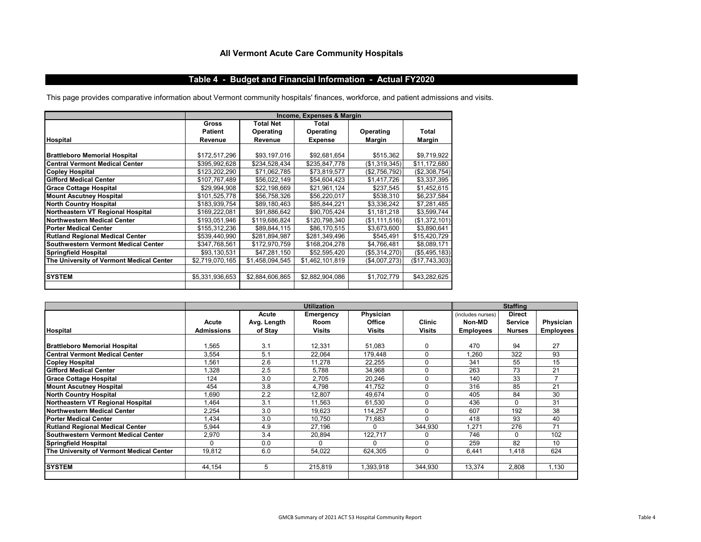# **All Vermont Acute Care Community Hospitals**

## **Table 4 - Budget and Financial Information - Actual FY2020**

This page provides comparative information about Vermont community hospitals' finances, workforce, and patient admissions and visits.

|                                          |                 |                  | Income, Expenses & Margin |               |                |  |
|------------------------------------------|-----------------|------------------|---------------------------|---------------|----------------|--|
|                                          | <b>Gross</b>    | <b>Total Net</b> | Total                     |               |                |  |
|                                          | <b>Patient</b>  | Operating        | Operating                 | Operating     | Total          |  |
| <b>Hospital</b>                          | Revenue         | Revenue          | <b>Expense</b>            | Margin        | Margin         |  |
|                                          |                 |                  |                           |               |                |  |
| <b>Brattleboro Memorial Hospital</b>     | \$172,517,296   | \$93,197,016     | \$92,681,654              | \$515,362     | \$9,719,922    |  |
| <b>Central Vermont Medical Center</b>    | \$395,992,628   | \$234,528,434    | \$235,847,778             | (\$1,319,345) | \$11,172,680   |  |
| <b>Copley Hospital</b>                   | \$123,202,290   | \$71,062,785     | \$73,819,577              | (\$2,756,792) | (\$2,308,754)  |  |
| <b>Gifford Medical Center</b>            | \$107,767,489   | \$56,022,149     | \$54,604,423              | \$1,417,726   | \$3,337,395    |  |
| <b>Grace Cottage Hospital</b>            | \$29,994,908    | \$22,198,669     | \$21,961,124              | \$237,545     | \$1,452,615    |  |
| <b>Mount Ascutney Hospital</b>           | \$101,525,778   | \$56,758,326     | \$56,220,017              | \$538,310     | \$6,237,584    |  |
| <b>North Country Hospital</b>            | \$183,939,754   | \$89,180,463     | \$85,844,221              | \$3,336,242   | \$7,281,485    |  |
| Northeastern VT Regional Hospital        | \$169,222,081   | \$91,886,642     | \$90,705,424              | \$1,181,218   | \$3,599,744    |  |
| Northwestern Medical Center              | \$193,051,946   | \$119,686,824    | \$120,798,340             | (\$1,111,516) | (\$1,372,101)  |  |
| <b>Porter Medical Center</b>             | \$155,312,236   | \$89,844,115     | \$86,170,515              | \$3,673,600   | \$3,890,641    |  |
| <b>Rutland Regional Medical Center</b>   | \$539,440,990   | \$281,894,987    | \$281,349,496             | \$545,491     | \$15,420,729   |  |
| Southwestern Vermont Medical Center      | \$347,768,561   | \$172,970,759    | \$168,204,278             | \$4,766,481   | \$8,089,171    |  |
| <b>Springfield Hospital</b>              | \$93,130,531    | \$47,281,150     | \$52,595,420              | (\$5,314,270) | (\$5,495,183)  |  |
| The University of Vermont Medical Center | \$2,719,070,165 | \$1,458,094,545  | \$1,462,101,819           | (\$4,007,273) | (\$17,743,303) |  |
|                                          |                 |                  |                           |               |                |  |
| <b>SYSTEM</b>                            | \$5,331,936,653 | \$2,884,606,865  | \$2,882,904,086           | \$1,702,779   | \$43,282,625   |  |
|                                          |                 |                  |                           |               |                |  |

|                                          | <b>Utilization</b>         |                                 |                                           |                                      | <b>Staffing</b>         |                                                 |                                                  |                               |
|------------------------------------------|----------------------------|---------------------------------|-------------------------------------------|--------------------------------------|-------------------------|-------------------------------------------------|--------------------------------------------------|-------------------------------|
| <b>Hospital</b>                          | Acute<br><b>Admissions</b> | Acute<br>Avg. Length<br>of Stay | Emergency<br><b>Room</b><br><b>Visits</b> | Physician<br>Office<br><b>Visits</b> | <b>Clinic</b><br>Visits | (includes nurses)<br>Non-MD<br><b>Employees</b> | <b>Direct</b><br><b>Service</b><br><b>Nurses</b> | Physician<br><b>Employees</b> |
|                                          |                            |                                 |                                           |                                      |                         |                                                 |                                                  |                               |
| <b>Brattleboro Memorial Hospital</b>     | 1,565                      | 3.1                             | 12,331                                    | 51,083                               | 0                       | 470                                             | 94                                               | 27                            |
| <b>Central Vermont Medical Center</b>    | 3,554                      | 5.1                             | 22,064                                    | 179.448                              | 0                       | .260                                            | 322                                              | 93                            |
| <b>Copley Hospital</b>                   | 1,561                      | 2.6                             | 11.278                                    | 22.255                               | $\Omega$                | 341                                             | 55                                               | 15                            |
| <b>Gifford Medical Center</b>            | 1,328                      | 2.5                             | 5.788                                     | 34,968                               | 0                       | 263                                             | 73                                               | 21                            |
| <b>Grace Cottage Hospital</b>            | 124                        | 3.0                             | 2,705                                     | 20,246                               | $\Omega$                | 140                                             | 33                                               | $\overline{7}$                |
| <b>Mount Ascutney Hospital</b>           | 454                        | 3.8                             | 4,798                                     | 41,752                               | $\Omega$                | 316                                             | 85                                               | 21                            |
| <b>North Country Hospital</b>            | 1,690                      | 2.2                             | 12,807                                    | 49,674                               | 0                       | 405                                             | 84                                               | 30                            |
| Northeastern VT Regional Hospital        | 1,464                      | 3.1                             | 11,563                                    | 61,530                               | 0                       | 436                                             | 0                                                | 31                            |
| Northwestern Medical Center              | 2,254                      | 3.0                             | 19,623                                    | 114,257                              | $\Omega$                | 607                                             | 192                                              | 38                            |
| <b>Porter Medical Center</b>             | 1,434                      | 3.0                             | 10,750                                    | 71,683                               | $\Omega$                | 418                                             | 93                                               | 40                            |
| <b>Rutland Regional Medical Center</b>   | 5,944                      | 4.9                             | 27,196                                    | $\Omega$                             | 344,930                 | .271                                            | 276                                              | 71                            |
| Southwestern Vermont Medical Center      | 2,970                      | 3.4                             | 20,894                                    | 122,717                              | 0                       | 746                                             | 0                                                | 102                           |
| <b>Springfield Hospital</b>              | $\Omega$                   | 0.0                             | O                                         | O                                    | $\Omega$                | 259                                             | 82                                               | 10                            |
| The University of Vermont Medical Center | 19,812                     | 6.0                             | 54,022                                    | 624,305                              | 0                       | 6,441                                           | .418                                             | 624                           |
|                                          |                            |                                 |                                           |                                      |                         |                                                 |                                                  |                               |
| <b>SYSTEM</b>                            | 44.154                     | 5                               | 215,819                                   | 1,393,918                            | 344,930                 | 13,374                                          | 2,808                                            | 1,130                         |
|                                          |                            |                                 |                                           |                                      |                         |                                                 |                                                  |                               |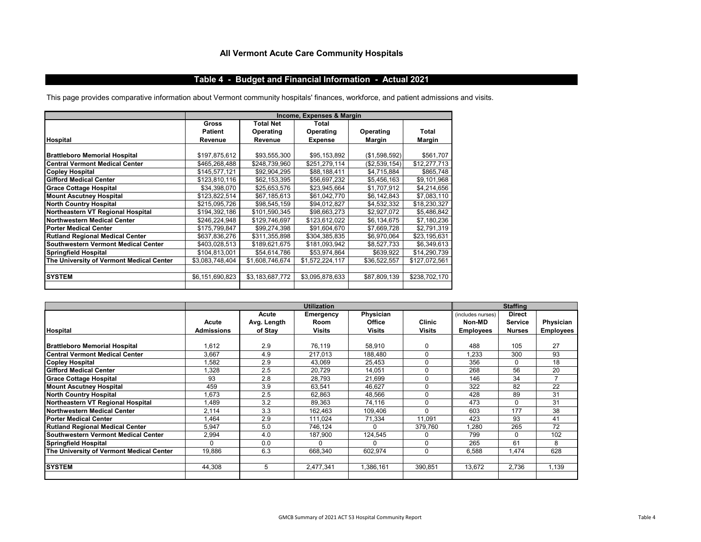# **All Vermont Acute Care Community Hospitals**

## **Table 4 - Budget and Financial Information - Actual 2021**

This page provides comparative information about Vermont community hospitals' finances, workforce, and patient admissions and visits.

|                                          |                 |                           | Income, Expenses & Margin |               |               |  |
|------------------------------------------|-----------------|---------------------------|---------------------------|---------------|---------------|--|
|                                          | <b>Gross</b>    | <b>Total Net</b>          | Total                     |               |               |  |
|                                          | <b>Patient</b>  | Operating                 | Operating                 | Operating     | Total         |  |
| <b>Hospital</b>                          | Revenue         | Revenue<br><b>Expense</b> |                           | Margin        | Margin        |  |
|                                          |                 |                           |                           |               |               |  |
| <b>Brattleboro Memorial Hospital</b>     | \$197,875,612   | \$93,555,300              | \$95,153,892              | (\$1,598,592) | \$561,707     |  |
| <b>Central Vermont Medical Center</b>    | \$465,268,488   | \$248,739,960             | \$251,279,114             | (\$2,539,154) | \$12,277,713  |  |
| <b>Copley Hospital</b>                   | \$145,577,121   | \$92.904.295              | \$88.188.411              | \$4,715,884   | \$865,748     |  |
| <b>Gifford Medical Center</b>            | \$123,810,116   | \$62,153,395              | \$56,697,232              | \$5,456,163   | \$9,101,968   |  |
| <b>Grace Cottage Hospital</b>            | \$34,398,070    | \$25,653,576              | \$23,945,664              | \$1,707,912   | \$4,214,656   |  |
| <b>Mount Ascutney Hospital</b>           | \$123,822,514   | \$67,185,613              | \$61,042,770              | \$6,142,843   | \$7,083,110   |  |
| <b>North Country Hospital</b>            | \$215,095,726   | \$98,545,159              | \$94,012,827              | \$4,532,332   | \$18,230,327  |  |
| Northeastern VT Regional Hospital        | \$194,392,186   | \$101,590,345             | \$98,663,273              | \$2,927,072   | \$5,486,842   |  |
| Northwestern Medical Center              | \$246,224,948   | \$129,746,697             | \$123,612,022             | \$6,134,675   | \$7,180,236   |  |
| <b>Porter Medical Center</b>             | \$175,799,847   | \$99,274,398              | \$91,604,670              | \$7,669,728   | \$2,791,319   |  |
| <b>Rutland Regional Medical Center</b>   | \$637.836.276   | \$311.355.898             | \$304.385.835             | \$6,970,064   | \$23,195,631  |  |
| Southwestern Vermont Medical Center      | \$403,028,513   | \$189,621,675             | \$181,093,942             | \$8,527,733   | \$6,349,613   |  |
| Springfield Hospital                     | \$104,813,001   | \$54,614,786              | \$53,974,864              | \$639,922     | \$14,290,739  |  |
| The University of Vermont Medical Center | \$3,083,748,404 | \$1,608,746,674           | \$1,572,224,117           | \$36,522,557  | \$127,072,561 |  |
|                                          |                 |                           |                           |               |               |  |
| <b>SYSTEM</b>                            | \$6,151,690,823 | \$3,183,687,772           | \$3,095,878,633           | \$87,809,139  | \$238,702,170 |  |
|                                          |                 |                           |                           |               |               |  |

|                                            | <b>Utilization</b>  |                                 |                                    |                                      | <b>Staffing</b>         |                                                 |                                                  |                               |
|--------------------------------------------|---------------------|---------------------------------|------------------------------------|--------------------------------------|-------------------------|-------------------------------------------------|--------------------------------------------------|-------------------------------|
| <b>Hospital</b>                            | Acute<br>Admissions | Acute<br>Avg. Length<br>of Stay | Emergency<br>Room<br><b>Visits</b> | Physician<br><b>Office</b><br>Visits | <b>Clinic</b><br>Visits | (includes nurses)<br>Non-MD<br><b>Employees</b> | <b>Direct</b><br><b>Service</b><br><b>Nurses</b> | Physician<br><b>Employees</b> |
|                                            |                     |                                 |                                    |                                      |                         |                                                 |                                                  |                               |
| <b>Brattleboro Memorial Hospital</b>       | ,612                | 2.9                             | 76,119                             | 58,910                               | 0                       | 488                                             | 105                                              | 27                            |
| <b>Central Vermont Medical Center</b>      | 3,667               | 4.9                             | 217,013                            | 188,480                              | $\Omega$                | .233                                            | 300                                              | 93                            |
| <b>Copley Hospital</b>                     | .582                | 2.9                             | 43,069                             | 25,453                               | 0                       | 356                                             | 0                                                | 18                            |
| <b>Gifford Medical Center</b>              | ,328                | 2.5                             | 20,729                             | 14,051                               | 0                       | 268                                             | 56                                               | 20                            |
| <b>Grace Cottage Hospital</b>              | 93                  | 2.8                             | 28,793                             | 21,699                               | 0                       | 146                                             | 34                                               |                               |
| <b>Mount Ascutney Hospital</b>             | 459                 | 3.9                             | 63,541                             | 46.627                               | 0                       | 322                                             | 82                                               | 22                            |
| <b>North Country Hospital</b>              | .673                | 2.5                             | 62,863                             | 48,566                               | 0                       | 428                                             | 89                                               | 31                            |
| Northeastern VT Regional Hospital          | .489                | 3.2                             | 89,363                             | 74,116                               | $\Omega$                | 473                                             | 0                                                | 31                            |
| Northwestern Medical Center                | 2,114               | 3.3                             | 162,463                            | 109,406                              | 0                       | 603                                             | 177                                              | 38                            |
| <b>Porter Medical Center</b>               | .464                | 2.9                             | 111,024                            | 71,334                               | 11,091                  | 423                                             | 93                                               | 41                            |
| <b>Rutland Regional Medical Center</b>     | 5,947               | 5.0                             | 746,124                            | 0                                    | 379,760                 | .280                                            | 265                                              | 72                            |
| <b>Southwestern Vermont Medical Center</b> | 2,994               | 4.0                             | 187,900                            | 124,545                              | 0                       | 799                                             | 0                                                | 102                           |
| <b>Springfield Hospital</b>                |                     | 0.0                             | 0                                  | O                                    | 0                       | 265                                             | 61                                               | 8                             |
| The University of Vermont Medical Center   | 19,886              | 6.3                             | 668,340                            | 602,974                              | 0                       | 6,588                                           | 1.474                                            | 628                           |
|                                            |                     |                                 |                                    |                                      |                         |                                                 |                                                  |                               |
| <b>SYSTEM</b>                              | 44.308              | 5                               | 2.477.341                          | 1,386,161                            | 390,851                 | 13,672                                          | 2,736                                            | 1,139                         |
|                                            |                     |                                 |                                    |                                      |                         |                                                 |                                                  |                               |